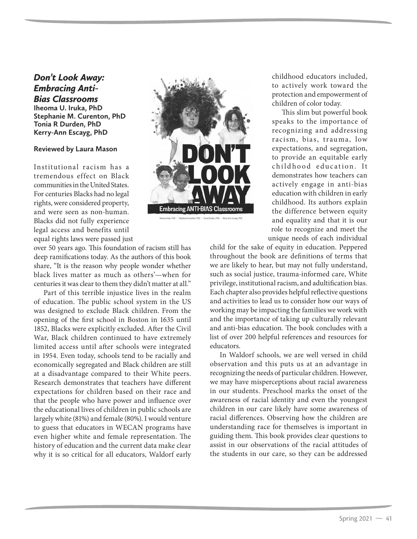## *Don't Look Away:*  **Bias Classrooms** *Bias Classrooms* **Iheoma U. Iruka, PhD Stephanie M. Curenton, PhD Tonia R Durden, PhD Kerry-Ann Escayg, PhD**

## **Reviewed by Laura Mason**

Institutional racism has a tremendous effect on Black communities in the United States. For centuries Blacks had no legal rights, were considered property, and were seen as non-human. Blacks did not fully experience legal access and benefits until equal rights laws were passed just

over 50 years ago. This foundation of racism still has deep ramifications today. As the authors of this book share, "It is the reason why people wonder whether black lives matter as much as others'—when for centuries it was clear to them they didn't matter at all."

Part of this terrible injustice lives in the realm of education. The public school system in the US was designed to exclude Black children. From the opening of the first school in Boston in 1635 until 1852, Blacks were explicitly excluded. After the Civil War, Black children continued to have extremely limited access until after schools were integrated in 1954. Even today, schools tend to be racially and economically segregated and Black children are still at a disadvantage compared to their White peers. Research demonstrates that teachers have different expectations for children based on their race and that the people who have power and influence over the educational lives of children in public schools are largely white (81%) and female (80%). I would venture to guess that educators in WECAN programs have even higher white and female representation. The history of education and the current data make clear why it is so critical for all educators, Waldorf early



childhood educators included, to actively work toward the protection and empowerment of children of color today.

This slim but powerful book speaks to the importance of recognizing and addressing racism, bias, trauma, low expectations, and segregation, to provide an equitable early childhood education. It demonstrates how teachers can actively engage in anti-bias education with children in early childhood. Its authors explain the difference between equity and equality and that it is our role to recognize and meet the unique needs of each individual

child for the sake of equity in education. Peppered throughout the book are definitions of terms that we are likely to hear, but may not fully understand, such as social justice, trauma-informed care, White privilege, institutional racism, and adultification bias. Each chapter also provides helpful reflective questions and activities to lead us to consider how our ways of working may be impacting the families we work with and the importance of taking up culturally relevant and anti-bias education. The book concludes with a list of over 200 helpful references and resources for educators.

In Waldorf schools, we are well versed in child observation and this puts us at an advantage in recognizing the needs of particular children. However, we may have misperceptions about racial awareness in our students. Preschool marks the onset of the awareness of racial identity and even the youngest children in our care likely have some awareness of racial differences. Observing how the children are understanding race for themselves is important in guiding them. This book provides clear questions to assist in our observations of the racial attitudes of the students in our care, so they can be addressed